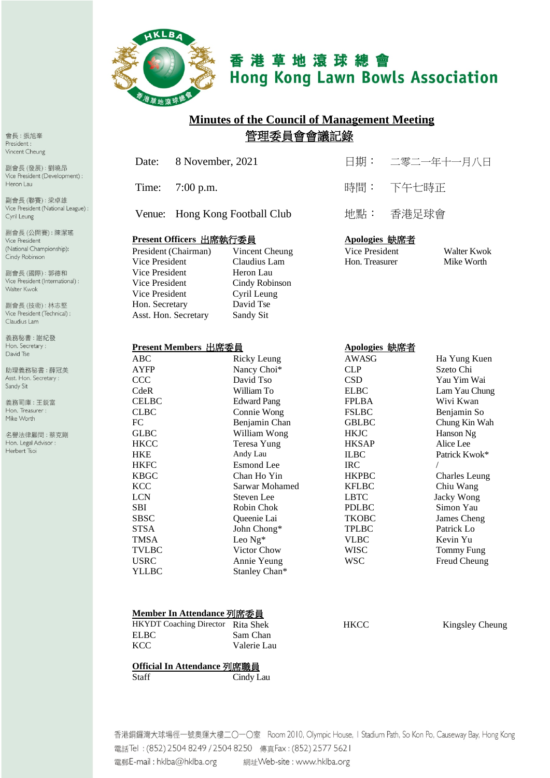

# 香港草地滾球總會 **Hong Kong Lawn Bowls Association**

# **Minutes of the Council of Management Meeting** 管理委員會會議記錄

|                         | Date:                | 8 November, 2021     |                         | 日期:                  |       | 二零二一年十一月八日           |
|-------------------------|----------------------|----------------------|-------------------------|----------------------|-------|----------------------|
|                         | Time:                | $7:00$ p.m.          |                         | 時間:                  | 下午七時正 |                      |
|                         | Venue:               |                      | Hong Kong Football Club | 地點:                  | 香港足球會 |                      |
| Present Officers 出席執行委員 |                      |                      |                         | <u>Apologies 缺席者</u> |       |                      |
|                         |                      | President (Chairman) | Vincent Cheung          | Vice President       |       | Walter Kwok          |
|                         | Vice President       |                      | Claudius Lam            | Hon. Treasurer       |       | Mike Worth           |
|                         | Vice President       |                      | Heron Lau               |                      |       |                      |
|                         | Vice President       |                      | Cindy Robinson          |                      |       |                      |
|                         | Vice President       |                      | Cyril Leung             |                      |       |                      |
|                         | Hon. Secretary       |                      | David Tse               |                      |       |                      |
|                         | Asst. Hon. Secretary |                      | Sandy Sit               |                      |       |                      |
|                         |                      |                      |                         |                      |       |                      |
| Present Members 出席委員    |                      |                      |                         | Apologies 缺席者        |       |                      |
|                         | <b>ABC</b>           |                      | <b>Ricky Leung</b>      | <b>AWASG</b>         |       | Ha Yung Kuen         |
|                         | <b>AYFP</b>          |                      | Nancy Choi*             | <b>CLP</b>           |       | Szeto Chi            |
|                         | CCC                  |                      | David Tso               | <b>CSD</b>           |       | Yau Yim Wai          |
|                         | CdeR                 |                      | William To              | <b>ELBC</b>          |       | Lam Yau Chung        |
|                         | <b>CELBC</b>         |                      | <b>Edward Pang</b>      | <b>FPLBA</b>         |       | Wivi Kwan            |
|                         | <b>CLBC</b>          |                      | Connie Wong             | <b>FSLBC</b>         |       | Benjamin So          |
|                         | FC                   |                      | Benjamin Chan           | <b>GBLBC</b>         |       | Chung Kin Wah        |
|                         | <b>GLBC</b>          |                      | William Wong            | <b>HKJC</b>          |       | Hanson Ng            |
|                         | <b>HKCC</b>          |                      | <b>Teresa Yung</b>      | <b>HKSAP</b>         |       | Alice Lee            |
|                         | <b>HKE</b>           |                      | Andy Lau                | <b>ILBC</b>          |       | Patrick Kwok*        |
|                         | <b>HKFC</b>          |                      | <b>Esmond</b> Lee       | <b>IRC</b>           |       | $\sqrt{2}$           |
|                         | <b>KBGC</b>          |                      | Chan Ho Yin             | <b>HKPBC</b>         |       | <b>Charles Leung</b> |
|                         | <b>KCC</b>           |                      | Sarwar Mohamed          | <b>KFLBC</b>         |       | Chiu Wang            |
|                         | <b>LCN</b>           |                      | Steven Lee              | <b>LBTC</b>          |       | Jacky Wong           |
|                         | <b>SBI</b>           |                      | Robin Chok              | <b>PDLBC</b>         |       | Simon Yau            |
|                         | <b>SBSC</b>          |                      | Queenie Lai             | <b>TKOBC</b>         |       | James Cheng          |
|                         | <b>STSA</b>          |                      | John Chong*             | <b>TPLBC</b>         |       | Patrick Lo           |
|                         | <b>TMSA</b>          |                      | Leo Ng*                 | <b>VLBC</b>          |       | Kevin Yu             |
|                         | <b>TVLBC</b>         |                      | Victor Chow             | <b>WISC</b>          |       | <b>Tommy Fung</b>    |

#### **Member In Attendance** 列席委員

| <b>HKYDT</b> Coaching Director Rita Shek |             |
|------------------------------------------|-------------|
| <b>ELBC</b>                              | Sam Chan    |
| <b>KCC</b>                               | Valerie Lau |

HKCC Kingsley Cheung

#### **Official In Attendance** 列席職員

Staff Cindy Lau

香港銅鑼灣大球場徑一號奧運大樓二〇一〇室 Room 2010, Olympic House, I Stadium Path, So Kon Po, Causeway Bay, Hong Kong 電話Tel: (852) 2504 8249 / 2504 8250 傳真Fax: (852) 2577 5621 電郵E-mail: hklba@hklba.org 網址Web-site : www.hklba.org

USRC Annie Yeung WSC Freud Cheung<br>
YLLBC Stanley Chan\* WSC Freud Cheung

Stanley Chan\*

會長:張旭峯 President: Vincent Cheung

副會長(發展):劉曉昂 Vice President (Development) : Heron Lau

副會長(聯賽):梁卓雄 Vice President (National League) : Cyril Leung

副會長 (公開賽):陳潔瑤 Vice President (National Championship): Cindy Robinson

副會長(國際): 郭德和 Vice President (International) : Walter Kwok

副會長(技術):林志堅 Vice President (Technical) : Claudius Lam

義務秘書:謝紀發 Hon. Secretary: David Tse

助理義務秘書:薛冠美 Asst. Hon. Secretary : Sandy Sit

義務司庫:王鋭富 Hon. Treasurer : Mike Worth

名譽法律顧問:蔡克剛 Hon. Legal Advisor : Herbert Tsoi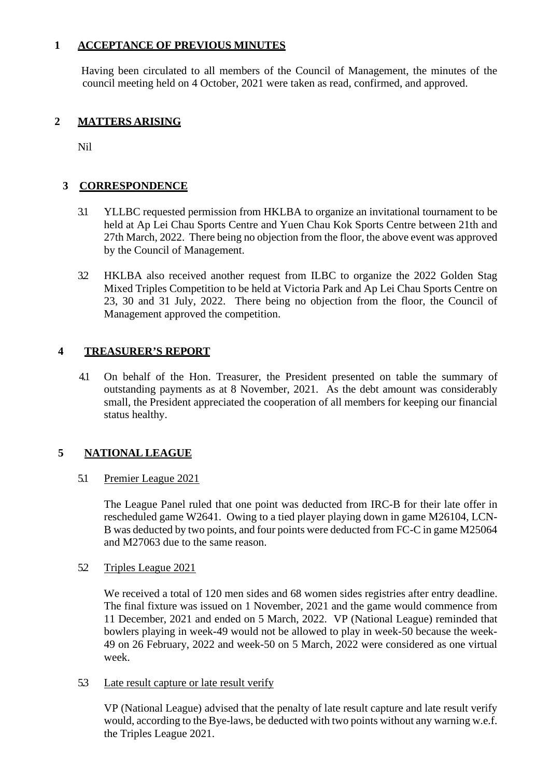## **1 ACCEPTANCE OF PREVIOUS MINUTES**

Having been circulated to all members of the Council of Management, the minutes of the council meeting held on 4 October, 2021 were taken as read, confirmed, and approved.

## **2 MATTERS ARISING**

Nil

## **3 CORRESPONDENCE**

- 3.1 YLLBC requested permission from HKLBA to organize an invitational tournament to be held at Ap Lei Chau Sports Centre and Yuen Chau Kok Sports Centre between 21th and 27th March, 2022. There being no objection from the floor, the above event was approved by the Council of Management.
- 3.2 HKLBA also received another request from ILBC to organize the 2022 Golden Stag Mixed Triples Competition to be held at Victoria Park and Ap Lei Chau Sports Centre on 23, 30 and 31 July, 2022. There being no objection from the floor, the Council of Management approved the competition.

#### **4 TREASURER'S REPORT**

4.1 On behalf of the Hon. Treasurer, the President presented on table the summary of outstanding payments as at 8 November, 2021. As the debt amount was considerably small, the President appreciated the cooperation of all members for keeping our financial status healthy.

## **5 NATIONAL LEAGUE**

## 5.1 Premier League 2021

The League Panel ruled that one point was deducted from IRC-B for their late offer in rescheduled game W2641. Owing to a tied player playing down in game M26104, LCN-B was deducted by two points, and four points were deducted from FC-C in game M25064 and M27063 due to the same reason.

#### 5.2 Triples League 2021

We received a total of 120 men sides and 68 women sides registries after entry deadline. The final fixture was issued on 1 November, 2021 and the game would commence from 11 December, 2021 and ended on 5 March, 2022. VP (National League) reminded that bowlers playing in week-49 would not be allowed to play in week-50 because the week-49 on 26 February, 2022 and week-50 on 5 March, 2022 were considered as one virtual week.

#### 5.3 Late result capture or late result verify

VP (National League) advised that the penalty of late result capture and late result verify would, according to the Bye-laws, be deducted with two points without any warning w.e.f. the Triples League 2021.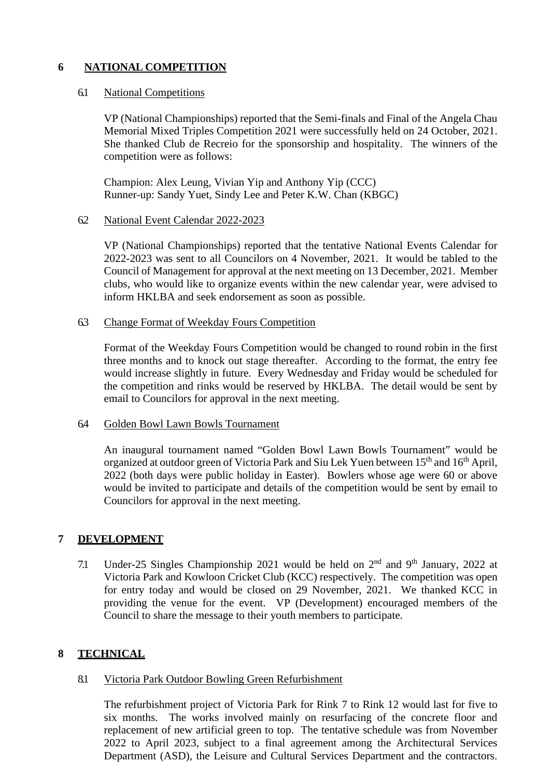## **6 NATIONAL COMPETITION**

#### 6.1 National Competitions

VP (National Championships) reported that the Semi-finals and Final of the Angela Chau Memorial Mixed Triples Competition 2021 were successfully held on 24 October, 2021. She thanked Club de Recreio for the sponsorship and hospitality. The winners of the competition were as follows:

Champion: Alex Leung, Vivian Yip and Anthony Yip (CCC) Runner-up: Sandy Yuet, Sindy Lee and Peter K.W. Chan (KBGC)

#### 6.2 National Event Calendar 2022-2023

VP (National Championships) reported that the tentative National Events Calendar for 2022-2023 was sent to all Councilors on 4 November, 2021. It would be tabled to the Council of Management for approval at the next meeting on 13 December, 2021. Member clubs, who would like to organize events within the new calendar year, were advised to inform HKLBA and seek endorsement as soon as possible.

#### 6.3 Change Format of Weekday Fours Competition

Format of the Weekday Fours Competition would be changed to round robin in the first three months and to knock out stage thereafter. According to the format, the entry fee would increase slightly in future. Every Wednesday and Friday would be scheduled for the competition and rinks would be reserved by HKLBA. The detail would be sent by email to Councilors for approval in the next meeting.

#### 6.4 Golden Bowl Lawn Bowls Tournament

An inaugural tournament named "Golden Bowl Lawn Bowls Tournament" would be organized at outdoor green of Victoria Park and Siu Lek Yuen between 15<sup>th</sup> and 16<sup>th</sup> April, 2022 (both days were public holiday in Easter). Bowlers whose age were 60 or above would be invited to participate and details of the competition would be sent by email to Councilors for approval in the next meeting.

## **7 DEVELOPMENT**

7.1 Under-25 Singles Championship 2021 would be held on  $2<sup>nd</sup>$  and  $9<sup>th</sup>$  January, 2022 at Victoria Park and Kowloon Cricket Club (KCC) respectively. The competition was open for entry today and would be closed on 29 November, 2021. We thanked KCC in providing the venue for the event. VP (Development) encouraged members of the Council to share the message to their youth members to participate.

## **8 TECHNICAL**

## 8.1 Victoria Park Outdoor Bowling Green Refurbishment

The refurbishment project of Victoria Park for Rink 7 to Rink 12 would last for five to six months. The works involved mainly on resurfacing of the concrete floor and replacement of new artificial green to top. The tentative schedule was from November 2022 to April 2023, subject to a final agreement among the Architectural Services Department (ASD), the Leisure and Cultural Services Department and the contractors.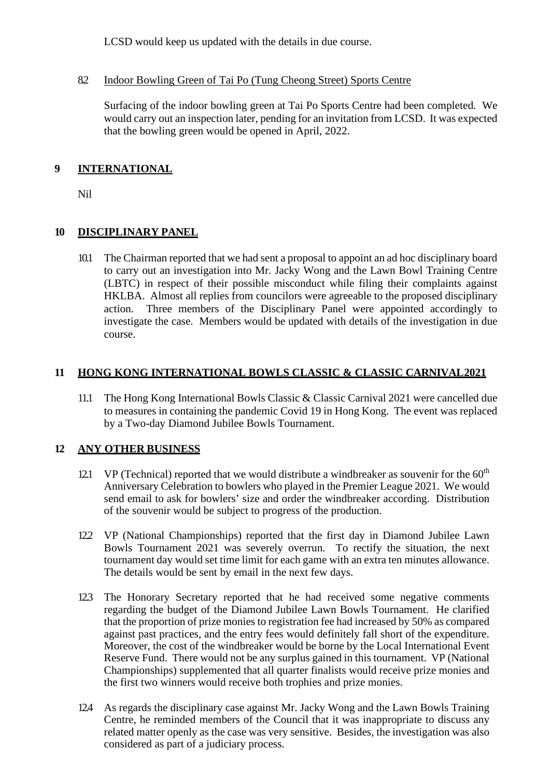LCSD would keep us updated with the details in due course.

## 8.2 Indoor Bowling Green of Tai Po (Tung Cheong Street) Sports Centre

Surfacing of the indoor bowling green at Tai Po Sports Centre had been completed. We would carry out an inspection later, pending for an invitation from LCSD. It was expected that the bowling green would be opened in April, 2022.

## **9 INTERNATIONAL**

Nil

## **10 DISCIPLINARY PANEL**

10.1 The Chairman reported that we had sent a proposal to appoint an ad hoc disciplinary board to carry out an investigation into Mr. Jacky Wong and the Lawn Bowl Training Centre (LBTC) in respect of their possible misconduct while filing their complaints against HKLBA. Almost all replies from councilors were agreeable to the proposed disciplinary action. Three members of the Disciplinary Panel were appointed accordingly to investigate the case. Members would be updated with details of the investigation in due course.

## **11 HONG KONG INTERNATIONAL BOWLS CLASSIC & CLASSIC CARNIVAL2021**

11.1 The Hong Kong International Bowls Classic & Classic Carnival 2021 were cancelled due to measures in containing the pandemic Covid 19 in Hong Kong. The event was replaced by a Two-day Diamond Jubilee Bowls Tournament.

## **12 ANY OTHER BUSINESS**

- 12.1 VP (Technical) reported that we would distribute a windbreaker as souvenir for the  $60<sup>th</sup>$ Anniversary Celebration to bowlers who played in the Premier League 2021. We would send email to ask for bowlers' size and order the windbreaker according. Distribution of the souvenir would be subject to progress of the production.
- 12.2 VP (National Championships) reported that the first day in Diamond Jubilee Lawn Bowls Tournament 2021 was severely overrun. To rectify the situation, the next tournament day would set time limit for each game with an extra ten minutes allowance. The details would be sent by email in the next few days.
- 12.3 The Honorary Secretary reported that he had received some negative comments regarding the budget of the Diamond Jubilee Lawn Bowls Tournament. He clarified that the proportion of prize monies to registration fee had increased by 50% as compared against past practices, and the entry fees would definitely fall short of the expenditure. Moreover, the cost of the windbreaker would be borne by the Local International Event Reserve Fund. There would not be any surplus gained in this tournament. VP (National Championships) supplemented that all quarter finalists would receive prize monies and the first two winners would receive both trophies and prize monies.
- 12.4 As regards the disciplinary case against Mr. Jacky Wong and the Lawn Bowls Training Centre, he reminded members of the Council that it was inappropriate to discuss any related matter openly as the case was very sensitive. Besides, the investigation was also considered as part of a judiciary process.